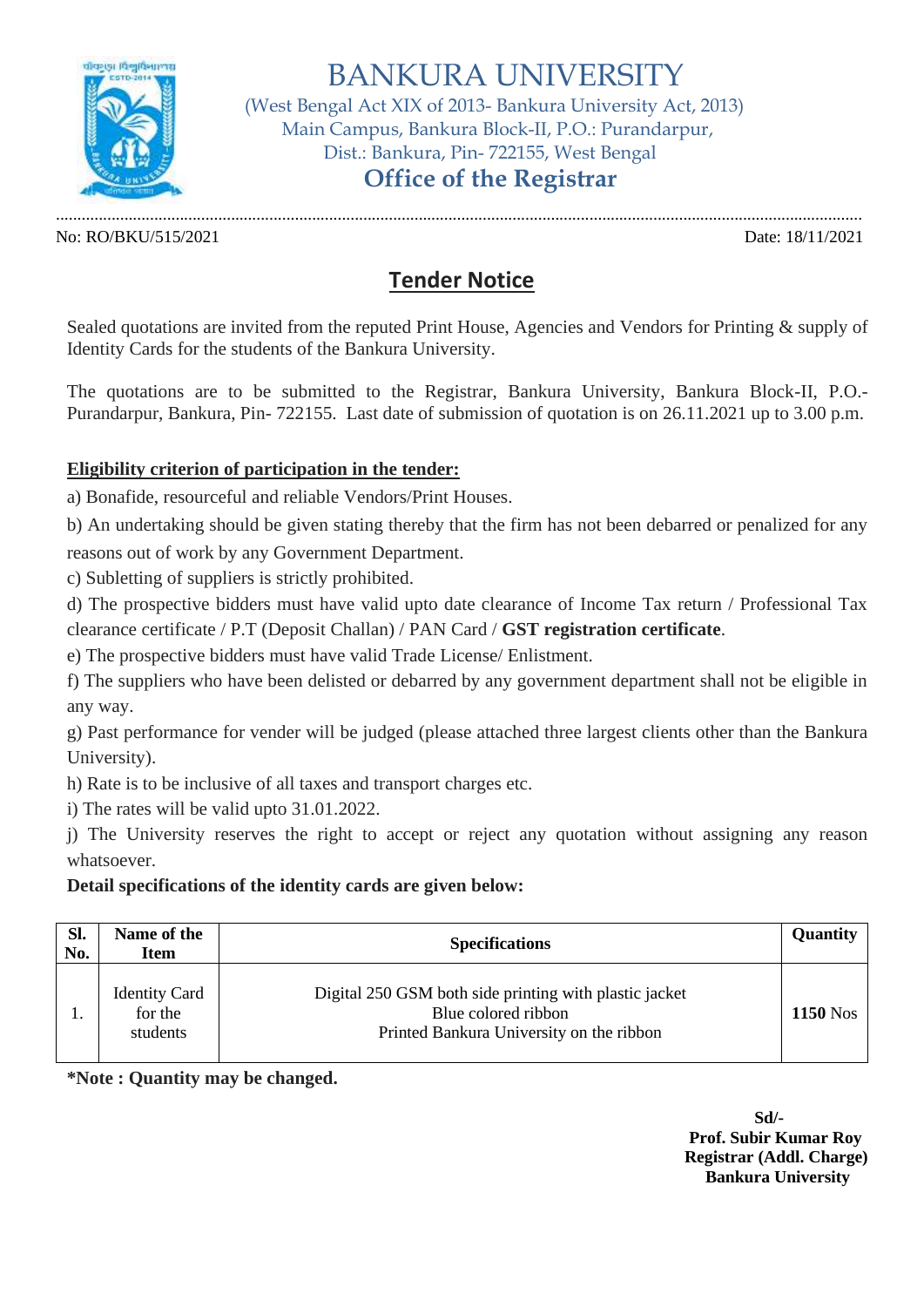

BANKURA UNIVERSITY

 (West Bengal Act XIX of 2013- Bankura University Act, 2013) Main Campus, Bankura Block-II, P.O.: Purandarpur, Dist.: Bankura, Pin- 722155, West Bengal

## **Office of the Registrar**

No: RO/BKU/515/2021 Date: 18/11/2021

.............................................................................................................................................................................................

## **Tender Notice**

Sealed quotations are invited from the reputed Print House, Agencies and Vendors for Printing & supply of Identity Cards for the students of the Bankura University.

The quotations are to be submitted to the Registrar, Bankura University, Bankura Block-II, P.O.- Purandarpur, Bankura, Pin- 722155. Last date of submission of quotation is on 26.11.2021 up to 3.00 p.m.

## **Eligibility criterion of participation in the tender:**

a) Bonafide, resourceful and reliable Vendors/Print Houses.

b) An undertaking should be given stating thereby that the firm has not been debarred or penalized for any reasons out of work by any Government Department.

c) Subletting of suppliers is strictly prohibited.

d) The prospective bidders must have valid upto date clearance of Income Tax return / Professional Tax clearance certificate / P.T (Deposit Challan) / PAN Card / **GST registration certificate**.

e) The prospective bidders must have valid Trade License/ Enlistment.

f) The suppliers who have been delisted or debarred by any government department shall not be eligible in any way.

g) Past performance for vender will be judged (please attached three largest clients other than the Bankura University).

h) Rate is to be inclusive of all taxes and transport charges etc.

i) The rates will be valid upto 31.01.2022.

j) The University reserves the right to accept or reject any quotation without assigning any reason whatsoever.

## **Detail specifications of the identity cards are given below:**

| Sl.<br>No. | Name of the<br><b>Item</b>                  | <b>Specifications</b>                                                                                                     | <b>Quantity</b> |
|------------|---------------------------------------------|---------------------------------------------------------------------------------------------------------------------------|-----------------|
|            | <b>Identity Card</b><br>for the<br>students | Digital 250 GSM both side printing with plastic jacket<br>Blue colored ribbon<br>Printed Bankura University on the ribbon | <b>1150</b> Nos |

**\*Note : Quantity may be changed.**

**Sd/- Prof. Subir Kumar Roy Registrar (Addl. Charge) Bankura University**